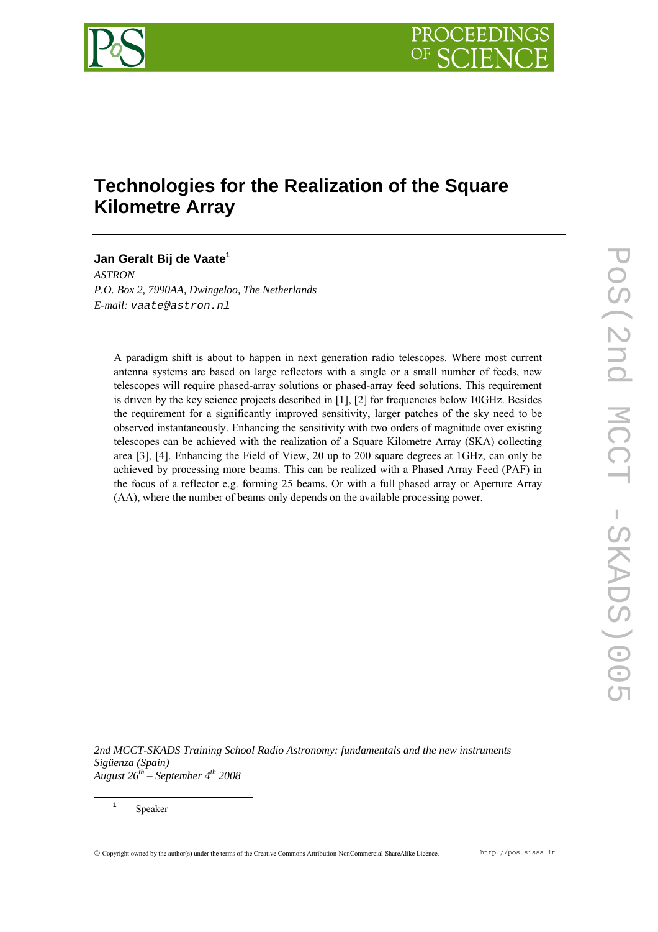

# **Technologies for the Realization of the Square Kilometre Array**

## **Jan Geralt Bij de Vaate<sup>1</sup>**

*ASTRON P.O. Box 2, 7990AA, Dwingeloo, The Netherlands E-mail: vaate@astron.nl* 

A paradigm shift is about to happen in next generation radio telescopes. Where most current antenna systems are based on large reflectors with a single or a small number of feeds, new telescopes will require phased-array solutions or phased-array feed solutions. This requirement is driven by the key science projects described in [1], [2] for frequencies below 10GHz. Besides the requirement for a significantly improved sensitivity, larger patches of the sky need to be observed instantaneously. Enhancing the sensitivity with two orders of magnitude over existing telescopes can be achieved with the realization of a Square Kilometre Array (SKA) collecting area [3], [4]. Enhancing the Field of View, 20 up to 200 square degrees at 1GHz, can only be achieved by processing more beams. This can be realized with a Phased Array Feed (PAF) in the focus of a reflector e.g. forming 25 beams. Or with a full phased array or Aperture Array (AA), where the number of beams only depends on the available processing power.

*2nd MCCT-SKADS Training School Radio Astronomy: fundamentals and the new instruments Sigüenza (Spain) August 26th – September 4th 2008*

 <sup>1</sup> Speaker

© Copyright owned by the author(s) under the terms of the Creative Commons Attribution-NonCommercial-ShareAlike Licence. http://pos.sissa.it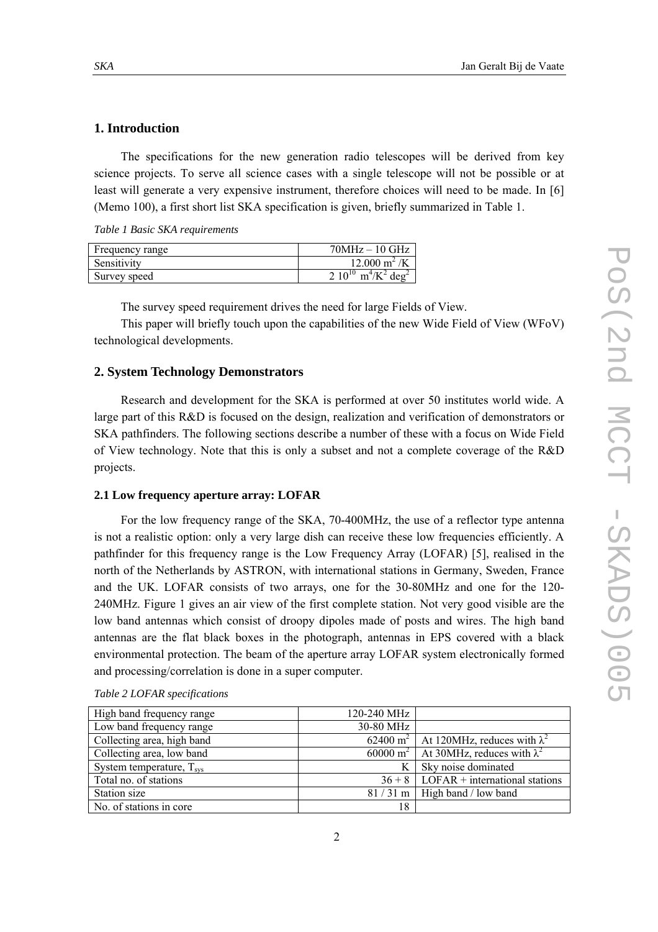### **1. Introduction**

The specifications for the new generation radio telescopes will be derived from key science projects. To serve all science cases with a single telescope will not be possible or at least will generate a very expensive instrument, therefore choices will need to be made. In [6] (Memo 100), a first short list SKA specification is given, briefly summarized in Table 1.

*Table 1 Basic SKA requirements* 

| Frequency range | $70MHz - 10GHz$                                             |
|-----------------|-------------------------------------------------------------|
| Sensitivity     | $12.000 \text{ m}^2/\text{K}$                               |
| Survey speed    | $2.10^{10}$ m <sup>4</sup> /K <sup>2</sup> deg <sup>2</sup> |

The survey speed requirement drives the need for large Fields of View.

This paper will briefly touch upon the capabilities of the new Wide Field of View (WFoV) technological developments.

#### **2. System Technology Demonstrators**

Research and development for the SKA is performed at over 50 institutes world wide. A large part of this R&D is focused on the design, realization and verification of demonstrators or SKA pathfinders. The following sections describe a number of these with a focus on Wide Field of View technology. Note that this is only a subset and not a complete coverage of the R&D projects.

#### **2.1 Low frequency aperture array: LOFAR**

For the low frequency range of the SKA, 70-400MHz, the use of a reflector type antenna is not a realistic option: only a very large dish can receive these low frequencies efficiently. A pathfinder for this frequency range is the Low Frequency Array (LOFAR) [5], realised in the north of the Netherlands by ASTRON, with international stations in Germany, Sweden, France and the UK. LOFAR consists of two arrays, one for the 30-80MHz and one for the 120- 240MHz. Figure 1 gives an air view of the first complete station. Not very good visible are the low band antennas which consist of droopy dipoles made of posts and wires. The high band antennas are the flat black boxes in the photograph, antennas in EPS covered with a black environmental protection. The beam of the aperture array LOFAR system electronically formed and processing/correlation is done in a super computer.

| High band frequency range         | 120-240 MHz |                                                                          |
|-----------------------------------|-------------|--------------------------------------------------------------------------|
| Low band frequency range          | 30-80 MHz   |                                                                          |
| Collecting area, high band        |             | 62400 m <sup>2</sup>   At 120MHz, reduces with $\lambda^2$               |
| Collecting area, low band         |             | $\frac{60000 \text{ m}^2}{44.30 \text{ MHz}}$ , reduces with $\lambda^2$ |
| System temperature, $T_{\rm sys}$ |             | Sky noise dominated                                                      |
| Total no. of stations             |             | $36 + 8$ LOFAR + international stations                                  |
| Station size                      |             | $81/31$ m   High band / low band                                         |
| No. of stations in core           | 18          |                                                                          |

*Table 2 LOFAR specifications*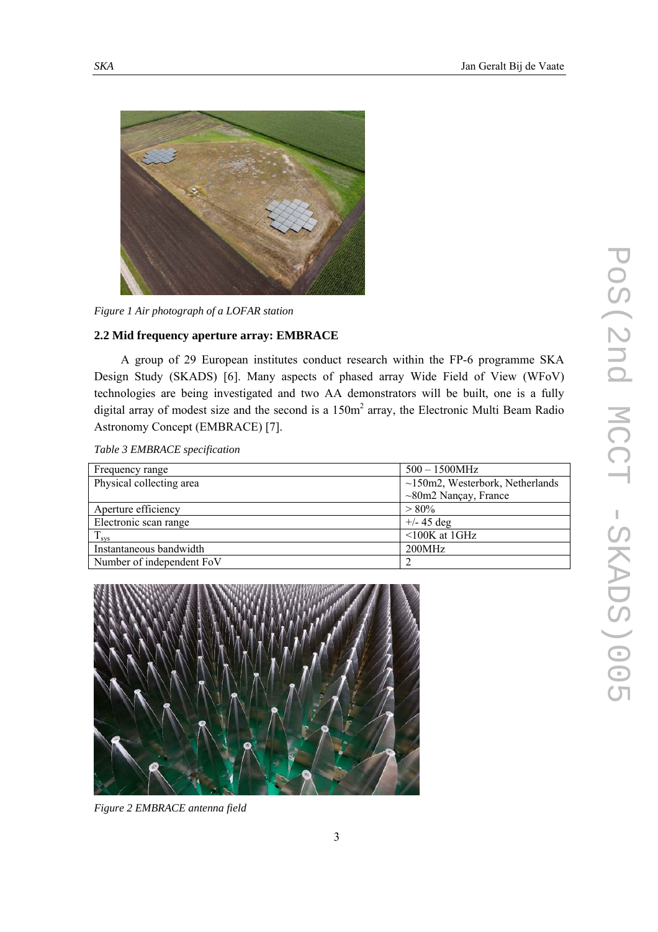

*Figure 1 Air photograph of a LOFAR station* 

## **2.2 Mid frequency aperture array: EMBRACE**

A group of 29 European institutes conduct research within the FP-6 programme SKA Design Study (SKADS) [6]. Many aspects of phased array Wide Field of View (WFoV) technologies are being investigated and two AA demonstrators will be built, one is a fully digital array of modest size and the second is a  $150m<sup>2</sup>$  array, the Electronic Multi Beam Radio Astronomy Concept (EMBRACE) [7].

| Table 3 EMBRACE specification |  |
|-------------------------------|--|
|-------------------------------|--|

| Frequency range           | $500 - 1500 MHz$                      |  |
|---------------------------|---------------------------------------|--|
| Physical collecting area  | $\sim$ 150m2, Westerbork, Netherlands |  |
|                           | $\sim$ 80m2 Nançay, France            |  |
| Aperture efficiency       | $> 80\%$                              |  |
| Electronic scan range     | $+/- 45$ deg                          |  |
| $T_{sys}$                 | $\leq 100K$ at 1GHz                   |  |
| Instantaneous bandwidth   | 200MHz                                |  |
| Number of independent FoV |                                       |  |
|                           |                                       |  |



*Figure 2 EMBRACE antenna field*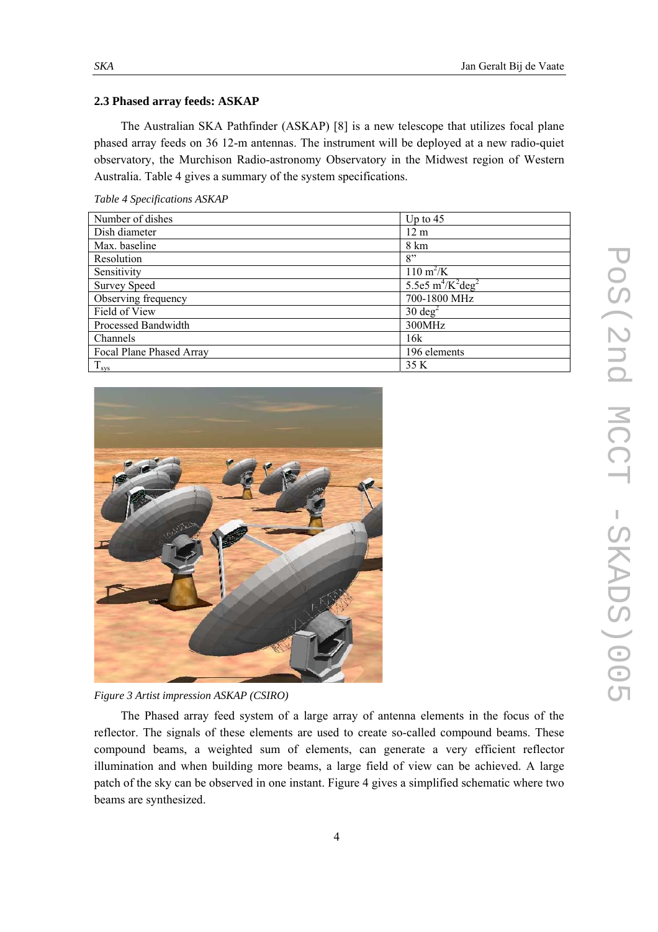#### **2.3 Phased array feeds: ASKAP**

The Australian SKA Pathfinder (ASKAP) [8] is a new telescope that utilizes focal plane phased array feeds on 36 12-m antennas. The instrument will be deployed at a new radio-quiet observatory, the Murchison Radio-astronomy Observatory in the Midwest region of Western Australia. Table 4 gives a summary of the system specifications.

| Number of dishes         | Up to $45$                       |
|--------------------------|----------------------------------|
| Dish diameter            | 12 <sub>m</sub>                  |
| Max. baseline            | 8 km                             |
| Resolution               | 8"                               |
| Sensitivity              | $110 \text{ m}^2/\text{K}$       |
| <b>Survey Speed</b>      | 5.5e5 $m^4/K^2$ deg <sup>2</sup> |
| Observing frequency      | 700-1800 MHz                     |
| Field of View            | $30 \text{ deg}^2$               |
| Processed Bandwidth      | 300MHz                           |
| Channels                 | 16k                              |
| Focal Plane Phased Array | 196 elements                     |
| $T_{\rm sys}$            | 35 K                             |





*Figure 3 Artist impression ASKAP (CSIRO)* 

The Phased array feed system of a large array of antenna elements in the focus of the reflector. The signals of these elements are used to create so-called compound beams. These compound beams, a weighted sum of elements, can generate a very efficient reflector illumination and when building more beams, a large field of view can be achieved. A large patch of the sky can be observed in one instant. Figure 4 gives a simplified schematic where two beams are synthesized.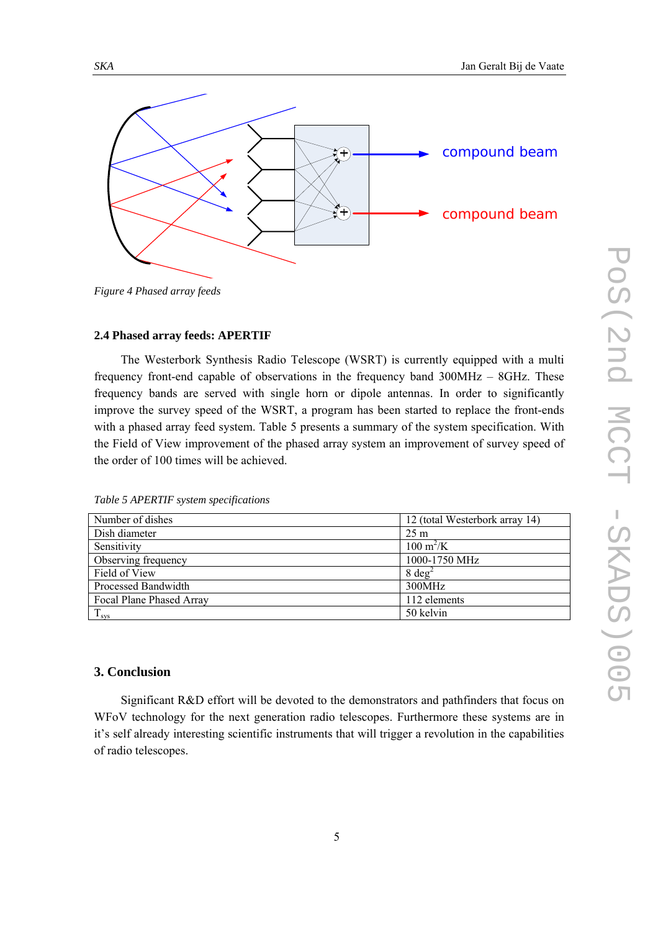

*Figure 4 Phased array feeds* 

## **2.4 Phased array feeds: APERTIF**

The Westerbork Synthesis Radio Telescope (WSRT) is currently equipped with a multi frequency front-end capable of observations in the frequency band 300MHz – 8GHz. These frequency bands are served with single horn or dipole antennas. In order to significantly improve the survey speed of the WSRT, a program has been started to replace the front-ends with a phased array feed system. Table 5 presents a summary of the system specification. With the Field of View improvement of the phased array system an improvement of survey speed of the order of 100 times will be achieved.

|  |  |  | Table 5 APERTIF system specifications |
|--|--|--|---------------------------------------|
|  |  |  |                                       |

| Number of dishes         | 12 (total Westerbork array 14) |
|--------------------------|--------------------------------|
| Dish diameter            | $25 \text{ m}$                 |
| Sensitivity              | $100 \text{ m}^2/\text{K}$     |
| Observing frequency      | 1000-1750 MHz                  |
| Field of View            | $8 \text{ deg}^2$              |
| Processed Bandwidth      | 300MHz                         |
| Focal Plane Phased Array | 112 elements                   |
| $T_{sys}$                | 50 kelvin                      |

## **3. Conclusion**

Significant R&D effort will be devoted to the demonstrators and pathfinders that focus on WFoV technology for the next generation radio telescopes. Furthermore these systems are in it's self already interesting scientific instruments that will trigger a revolution in the capabilities of radio telescopes.